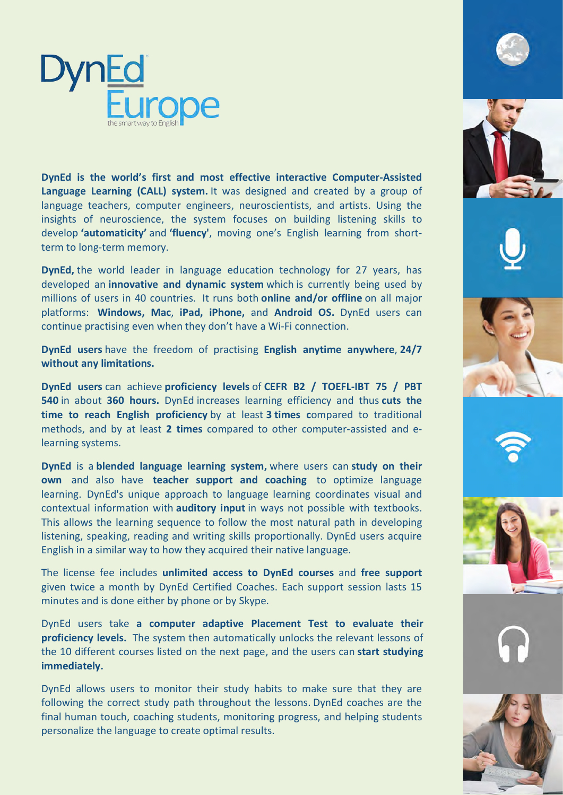

DynEd is the world's first and most effective interactive Computer-Assisted Language Learning (CALL) system. It was designed and created by a group of language teachers, computer engineers, neuroscientists, and artists. Using the insights of neuroscience, the system focuses on building listening skills to develop **'automaticity'** and **'fluency'**, moving one's English learning from shortterm to long-term memory.

**DynEd,** the world leader in language education technology for 27 years, has developed an **innovative and dynamic system** which is currently being used by millions of users in 40 countries. It runs both **online and/or offline** on all major platforms: Windows, Mac, iPad, iPhone, and Android OS. DynEd users can continue practising even when they don't have a Wi-Fi connection.

**DynEd users** have the freedom of practising **English anytime anywhere**, 24/7 without any limitations.

**DynEd** users can achieve proficiency levels of CEFR B2 / TOEFL-IBT 75 / PBT **540** in about **360 hours.** DynEd increases learning efficiency and thus cuts the **time to reach English proficiency** by at least 3 times compared to traditional methods, and by at least **2 times** compared to other computer-assisted and elearning systems.

**DynEd** is a **blended language learning system,** where users can study on their **own** and also have **teacher support and coaching** to optimize language learning. DynEd's unique approach to language learning coordinates visual and contextual information with **auditory input** in ways not possible with textbooks. This allows the learning sequence to follow the most natural path in developing listening, speaking, reading and writing skills proportionally. DynEd users acquire English in a similar way to how they acquired their native language.

The license fee includes *unlimited* access to DynEd courses and free support given twice a month by DynEd Certified Coaches. Each support session lasts 15 minutes and is done either by phone or by Skype.

DynEd users take a computer adaptive Placement Test to evaluate their **proficiency levels.** The system then automatically unlocks the relevant lessons of the 10 different courses listed on the next page, and the users can start studying **immediately.**

DynEd allows users to monitor their study habits to make sure that they are following the correct study path throughout the lessons. DynEd coaches are the final human touch, coaching students, monitoring progress, and helping students personalize the language to create optimal results.